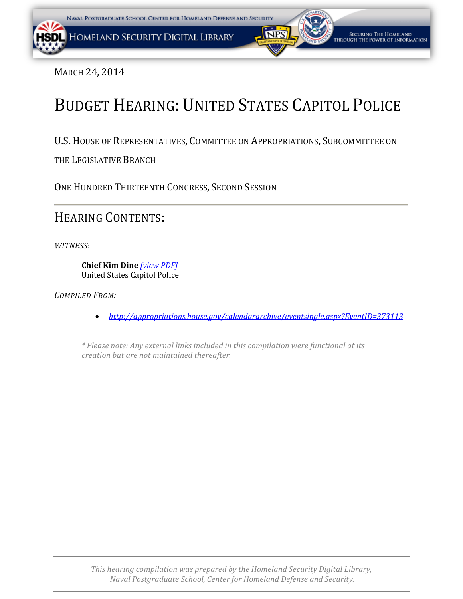<span id="page-0-0"></span>

MARCH 24, 2014

## BUDGET HEARING: UNITED STATES CAPITOL POLICE

U.S. HOUSE OF REPRESENTATIVES, COMMITTEE ON APPROPRIATIONS, SUBCOMMITTEE ON

THE LEGISLATIVE BRANCH

ONE HUNDRED THIRTEENTH CONGRESS, SECOND SESSION

HEARING CONTENTS:

*WITNESS:* 

**Chief Kim Dine** *[\[view PDF\]](#page-0-0)* United States Capitol Police

*COMPILED FROM:*

• *http://appropriations.house.gov/calendararchive/eventsingle.aspx?EventID=373113*

*\* Please note: Any external links included in this compilation were functional at its creation but are not maintained thereafter.*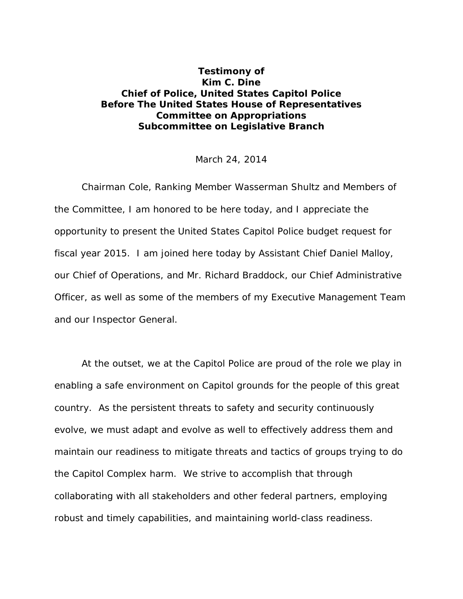## <span id="page-1-0"></span>**Testimony of Kim C. Dine Chief of Police, United States Capitol Police Before The United States House of Representatives Committee on Appropriations Subcommittee on Legislative Branch**

## March 24, 2014

Chairman Cole, Ranking Member Wasserman Shultz and Members of the Committee, I am honored to be here today, and I appreciate the opportunity to present the United States Capitol Police budget request for fiscal year 2015. I am joined here today by Assistant Chief Daniel Malloy, our Chief of Operations, and Mr. Richard Braddock, our Chief Administrative Officer, as well as some of the members of my Executive Management Team and our Inspector General.

At the outset, we at the Capitol Police are proud of the role we play in enabling a safe environment on Capitol grounds for the people of this great country. As the persistent threats to safety and security continuously evolve, we must adapt and evolve as well to effectively address them and maintain our readiness to mitigate threats and tactics of groups trying to do the Capitol Complex harm. We strive to accomplish that through collaborating with all stakeholders and other federal partners, employing robust and timely capabilities, and maintaining world-class readiness.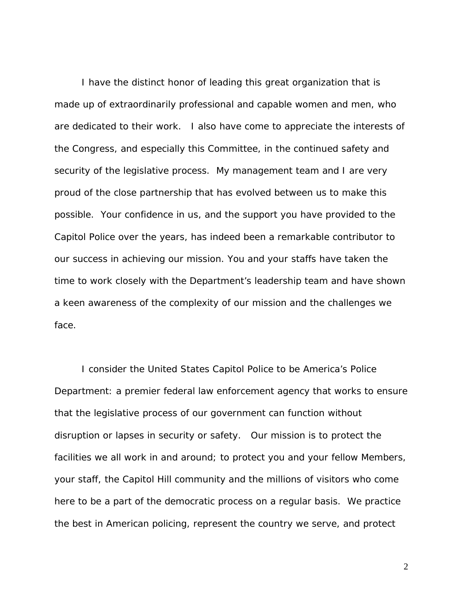I have the distinct honor of leading this great organization that is made up of extraordinarily professional and capable women and men, who are dedicated to their work. I also have come to appreciate the interests of the Congress, and especially this Committee, in the continued safety and security of the legislative process. My management team and I are very proud of the close partnership that has evolved between us to make this possible. Your confidence in us, and the support you have provided to the Capitol Police over the years, has indeed been a remarkable contributor to our success in achieving our mission. You and your staffs have taken the time to work closely with the Department's leadership team and have shown a keen awareness of the complexity of our mission and the challenges we face.

I consider the United States Capitol Police to be America's Police Department: a premier federal law enforcement agency that works to ensure that the legislative process of our government can function without disruption or lapses in security or safety. Our mission is to protect the facilities we all work in and around; to protect you and your fellow Members, your staff, the Capitol Hill community and the millions of visitors who come here to be a part of the democratic process on a regular basis. We practice the best in American policing, represent the country we serve, and protect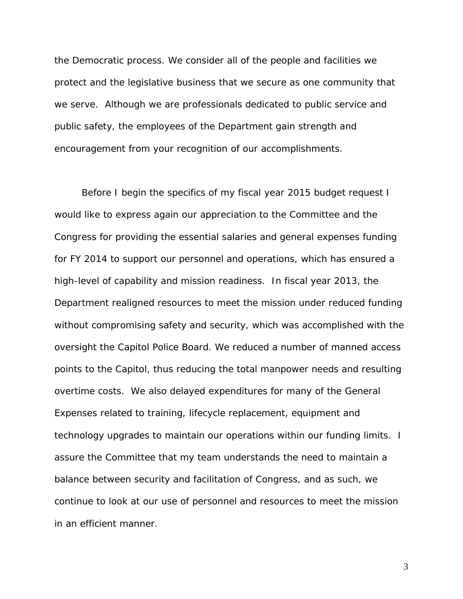the Democratic process. We consider all of the people and facilities we protect and the legislative business that we secure as one community that we serve. Although we are professionals dedicated to public service and public safety, the employees of the Department gain strength and encouragement from your recognition of our accomplishments.

Before I begin the specifics of my fiscal year 2015 budget request I would like to express again our appreciation to the Committee and the Congress for providing the essential salaries and general expenses funding for FY 2014 to support our personnel and operations, which has ensured a high-level of capability and mission readiness. In fiscal year 2013, the Department realigned resources to meet the mission under reduced funding without compromising safety and security, which was accomplished with the oversight the Capitol Police Board. We reduced a number of manned access points to the Capitol, thus reducing the total manpower needs and resulting overtime costs. We also delayed expenditures for many of the General Expenses related to training, lifecycle replacement, equipment and technology upgrades to maintain our operations within our funding limits. I assure the Committee that my team understands the need to maintain a balance between security and facilitation of Congress, and as such, we continue to look at our use of personnel and resources to meet the mission in an efficient manner.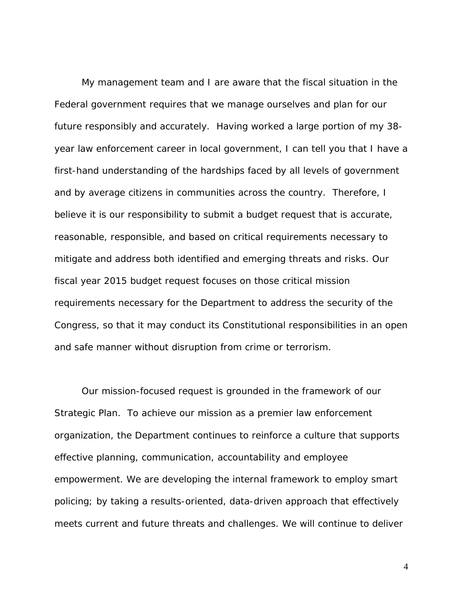My management team and I are aware that the fiscal situation in the Federal government requires that we manage ourselves and plan for our future responsibly and accurately. Having worked a large portion of my 38 year law enforcement career in local government, I can tell you that I have a first-hand understanding of the hardships faced by all levels of government and by average citizens in communities across the country. Therefore, I believe it is our responsibility to submit a budget request that is accurate, reasonable, responsible, and based on critical requirements necessary to mitigate and address both identified and emerging threats and risks. Our fiscal year 2015 budget request focuses on those critical mission requirements necessary for the Department to address the security of the Congress, so that it may conduct its Constitutional responsibilities in an open and safe manner without disruption from crime or terrorism.

Our mission-focused request is grounded in the framework of our Strategic Plan. To achieve our mission as a premier law enforcement organization, the Department continues to reinforce a culture that supports effective planning, communication, accountability and employee empowerment. We are developing the internal framework to employ smart policing; by taking a results-oriented, data-driven approach that effectively meets current and future threats and challenges. We will continue to deliver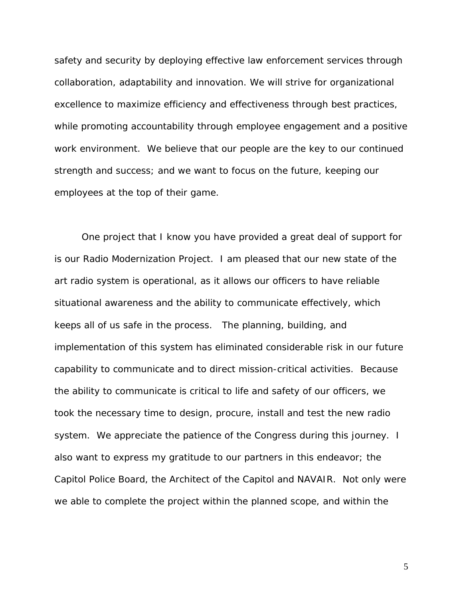safety and security by deploying effective law enforcement services through collaboration, adaptability and innovation. We will strive for organizational excellence to maximize efficiency and effectiveness through best practices, while promoting accountability through employee engagement and a positive work environment. We believe that our people are the key to our continued strength and success; and we want to focus on the future, keeping our employees at the top of their game.

One project that I know you have provided a great deal of support for is our Radio Modernization Project. I am pleased that our new state of the art radio system is operational, as it allows our officers to have reliable situational awareness and the ability to communicate effectively, which keeps all of us safe in the process. The planning, building, and implementation of this system has eliminated considerable risk in our future capability to communicate and to direct mission-critical activities. Because the ability to communicate is critical to life and safety of our officers, we took the necessary time to design, procure, install and test the new radio system. We appreciate the patience of the Congress during this journey. I also want to express my gratitude to our partners in this endeavor; the Capitol Police Board, the Architect of the Capitol and NAVAIR. Not only were we able to complete the project within the planned scope, and within the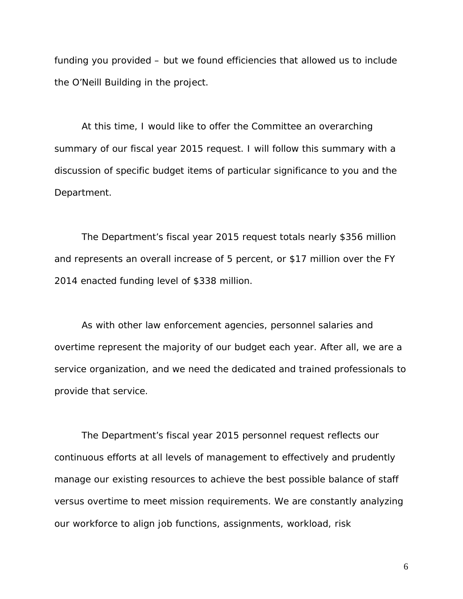funding you provided – but we found efficiencies that allowed us to include the O'Neill Building in the project.

At this time, I would like to offer the Committee an overarching summary of our fiscal year 2015 request. I will follow this summary with a discussion of specific budget items of particular significance to you and the Department.

The Department's fiscal year 2015 request totals nearly \$356 million and represents an overall increase of 5 percent, or \$17 million over the FY 2014 enacted funding level of \$338 million.

As with other law enforcement agencies, personnel salaries and overtime represent the majority of our budget each year. After all, we are a service organization, and we need the dedicated and trained professionals to provide that service.

The Department's fiscal year 2015 personnel request reflects our continuous efforts at all levels of management to effectively and prudently manage our existing resources to achieve the best possible balance of staff versus overtime to meet mission requirements. We are constantly analyzing our workforce to align job functions, assignments, workload, risk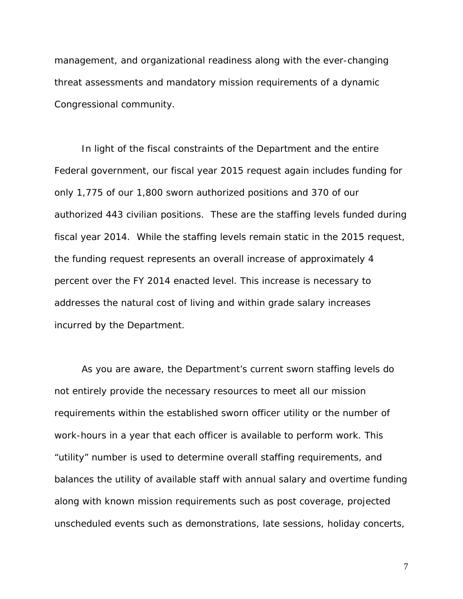management, and organizational readiness along with the ever-changing threat assessments and mandatory mission requirements of a dynamic Congressional community.

In light of the fiscal constraints of the Department and the entire Federal government, our fiscal year 2015 request again includes funding for only 1,775 of our 1,800 sworn authorized positions and 370 of our authorized 443 civilian positions. These are the staffing levels funded during fiscal year 2014. While the staffing levels remain static in the 2015 request, the funding request represents an overall increase of approximately 4 percent over the FY 2014 enacted level. This increase is necessary to addresses the natural cost of living and within grade salary increases incurred by the Department.

As you are aware, the Department's current sworn staffing levels do not entirely provide the necessary resources to meet all our mission requirements within the established sworn officer utility or the number of work-hours in a year that each officer is available to perform work. This "utility" number is used to determine overall staffing requirements, and balances the utility of available staff with annual salary and overtime funding along with known mission requirements such as post coverage, projected unscheduled events such as demonstrations, late sessions, holiday concerts,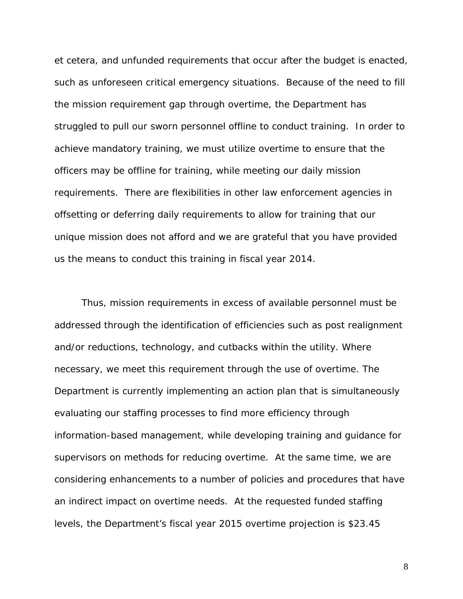et cetera, and unfunded requirements that occur after the budget is enacted, such as unforeseen critical emergency situations. Because of the need to fill the mission requirement gap through overtime, the Department has struggled to pull our sworn personnel offline to conduct training. In order to achieve mandatory training, we must utilize overtime to ensure that the officers may be offline for training, while meeting our daily mission requirements. There are flexibilities in other law enforcement agencies in offsetting or deferring daily requirements to allow for training that our unique mission does not afford and we are grateful that you have provided us the means to conduct this training in fiscal year 2014.

Thus, mission requirements in excess of available personnel must be addressed through the identification of efficiencies such as post realignment and/or reductions, technology, and cutbacks within the utility. Where necessary, we meet this requirement through the use of overtime. The Department is currently implementing an action plan that is simultaneously evaluating our staffing processes to find more efficiency through information-based management, while developing training and guidance for supervisors on methods for reducing overtime. At the same time, we are considering enhancements to a number of policies and procedures that have an indirect impact on overtime needs. At the requested funded staffing levels, the Department's fiscal year 2015 overtime projection is \$23.45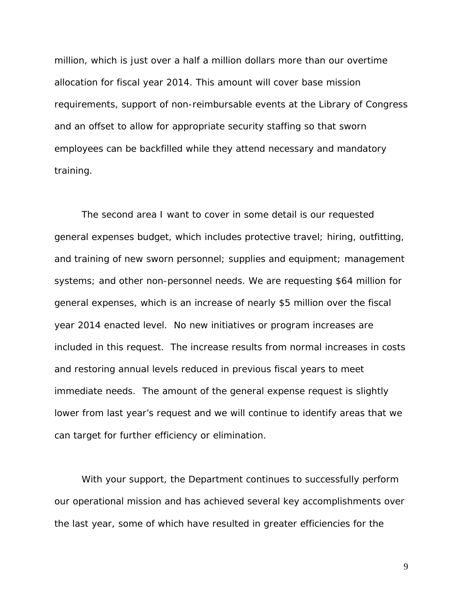million, which is just over a half a million dollars more than our overtime allocation for fiscal year 2014. This amount will cover base mission requirements, support of non-reimbursable events at the Library of Congress and an offset to allow for appropriate security staffing so that sworn employees can be backfilled while they attend necessary and mandatory training.

The second area I want to cover in some detail is our requested general expenses budget, which includes protective travel; hiring, outfitting, and training of new sworn personnel; supplies and equipment; management systems; and other non-personnel needs. We are requesting \$64 million for general expenses, which is an increase of nearly \$5 million over the fiscal year 2014 enacted level. No new initiatives or program increases are included in this request. The increase results from normal increases in costs and restoring annual levels reduced in previous fiscal years to meet immediate needs. The amount of the general expense request is slightly lower from last year's request and we will continue to identify areas that we can target for further efficiency or elimination.

With your support, the Department continues to successfully perform our operational mission and has achieved several key accomplishments over the last year, some of which have resulted in greater efficiencies for the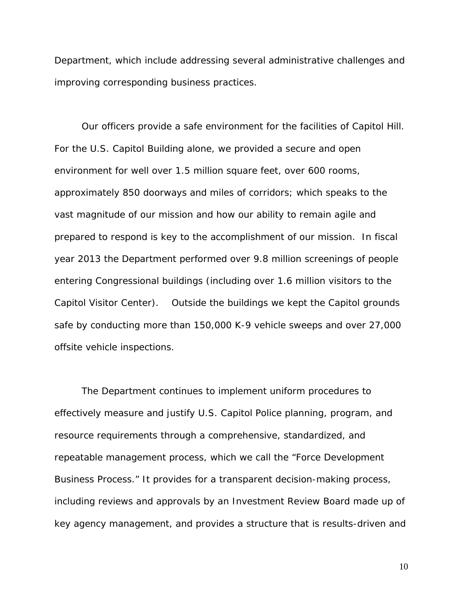Department, which include addressing several administrative challenges and improving corresponding business practices.

Our officers provide a safe environment for the facilities of Capitol Hill. For the U.S. Capitol Building alone, we provided a secure and open environment for well over 1.5 million square feet, over 600 rooms, approximately 850 doorways and miles of corridors; which speaks to the vast magnitude of our mission and how our ability to remain agile and prepared to respond is key to the accomplishment of our mission. In fiscal year 2013 the Department performed over 9.8 million screenings of people entering Congressional buildings (including over 1.6 million visitors to the Capitol Visitor Center). Outside the buildings we kept the Capitol grounds safe by conducting more than 150,000 K-9 vehicle sweeps and over 27,000 offsite vehicle inspections.

The Department continues to implement uniform procedures to effectively measure and justify U.S. Capitol Police planning, program, and resource requirements through a comprehensive, standardized, and repeatable management process, which we call the "Force Development Business Process." It provides for a transparent decision-making process, including reviews and approvals by an Investment Review Board made up of key agency management, and provides a structure that is results-driven and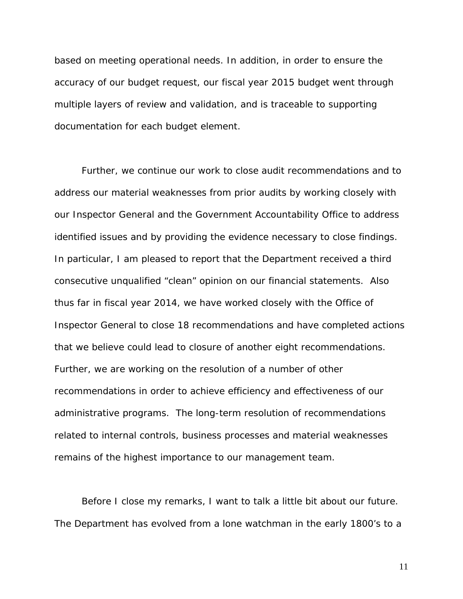based on meeting operational needs. In addition, in order to ensure the accuracy of our budget request, our fiscal year 2015 budget went through multiple layers of review and validation, and is traceable to supporting documentation for each budget element.

Further, we continue our work to close audit recommendations and to address our material weaknesses from prior audits by working closely with our Inspector General and the Government Accountability Office to address identified issues and by providing the evidence necessary to close findings. In particular, I am pleased to report that the Department received a third consecutive unqualified "clean" opinion on our financial statements. Also thus far in fiscal year 2014, we have worked closely with the Office of Inspector General to close 18 recommendations and have completed actions that we believe could lead to closure of another eight recommendations. Further, we are working on the resolution of a number of other recommendations in order to achieve efficiency and effectiveness of our administrative programs. The long-term resolution of recommendations related to internal controls, business processes and material weaknesses remains of the highest importance to our management team.

Before I close my remarks, I want to talk a little bit about our future. The Department has evolved from a lone watchman in the early 1800's to a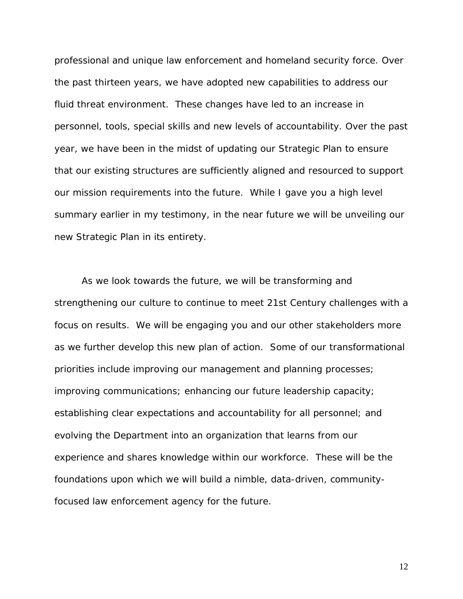professional and unique law enforcement and homeland security force. Over the past thirteen years, we have adopted new capabilities to address our fluid threat environment. These changes have led to an increase in personnel, tools, special skills and new levels of accountability. Over the past year, we have been in the midst of updating our Strategic Plan to ensure that our existing structures are sufficiently aligned and resourced to support our mission requirements into the future. While I gave you a high level summary earlier in my testimony, in the near future we will be unveiling our new Strategic Plan in its entirety.

As we look towards the future, we will be transforming and strengthening our culture to continue to meet 21st Century challenges with a focus on results. We will be engaging you and our other stakeholders more as we further develop this new plan of action. Some of our transformational priorities include improving our management and planning processes; improving communications; enhancing our future leadership capacity; establishing clear expectations and accountability for all personnel; and evolving the Department into an organization that learns from our experience and shares knowledge within our workforce. These will be the foundations upon which we will build a nimble, data-driven, communityfocused law enforcement agency for the future.